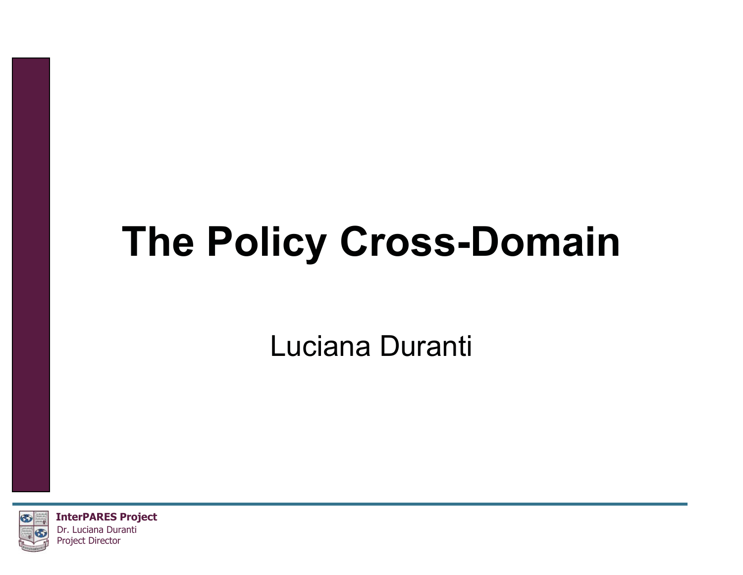# **The Policy Cross-Domain**

Luciana Duranti



**InterPARES Project** Dr. Luciana Duranti Project Director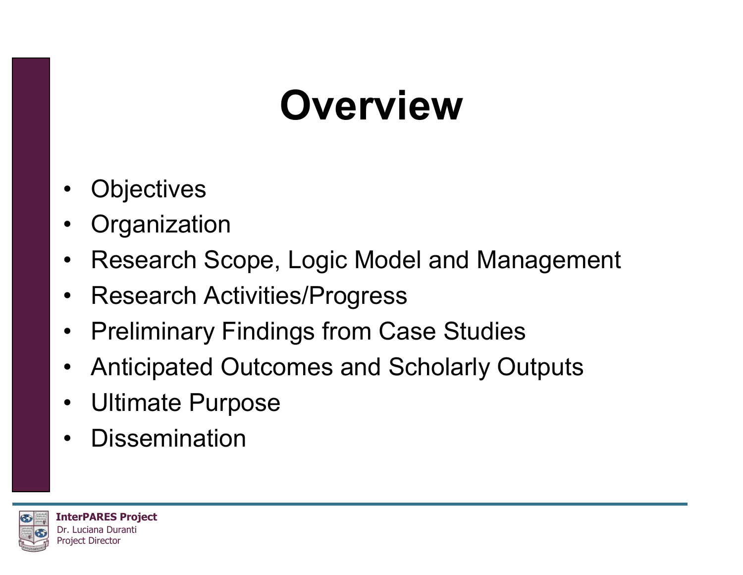#### **Overview**

- •**Objectives**
- •**Organization**
- •Research Scope, Logic Model and Management
- Research Activities/Progress
- $\bullet$ Preliminary Findings from Case Studies
- $\bullet$ Anticipated Outcomes and Scholarly Outputs
- Ultimate Purpose
- •**Dissemination**

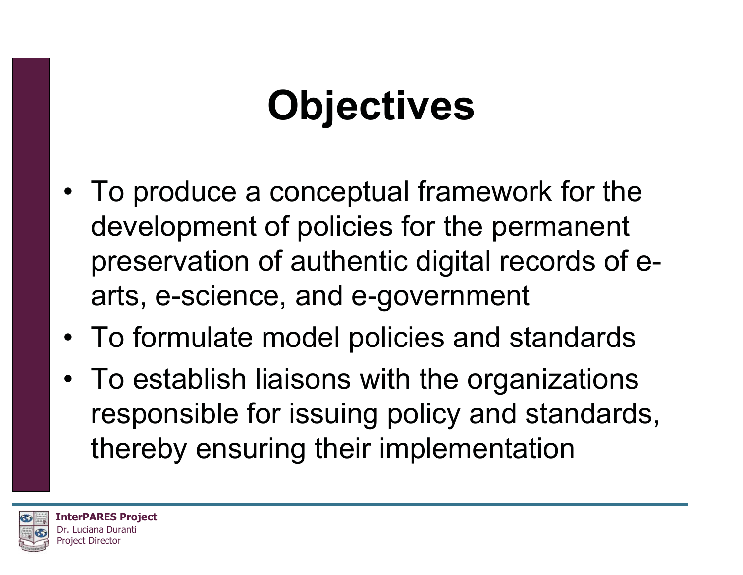# **Objectives**

- To produce a conceptual framework for the development of policies for the permanent preservation of authentic digital records of earts, e-science, and e-government
- To formulate model policies and standards
- To establish liaisons with the organizations responsible for issuing policy and standards, thereby ensuring their implementation

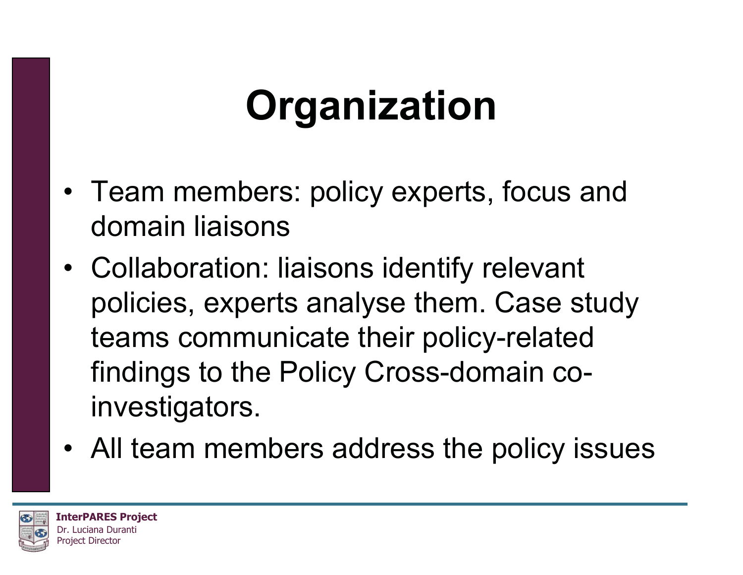# **Organization**

- Team members: policy experts, focus and domain liaisons
- Collaboration: liaisons identify relevant policies, experts analyse them. Case study teams communicate their policy-related findings to the Policy Cross-domain coinvestigators.
- All team members address the policy issues

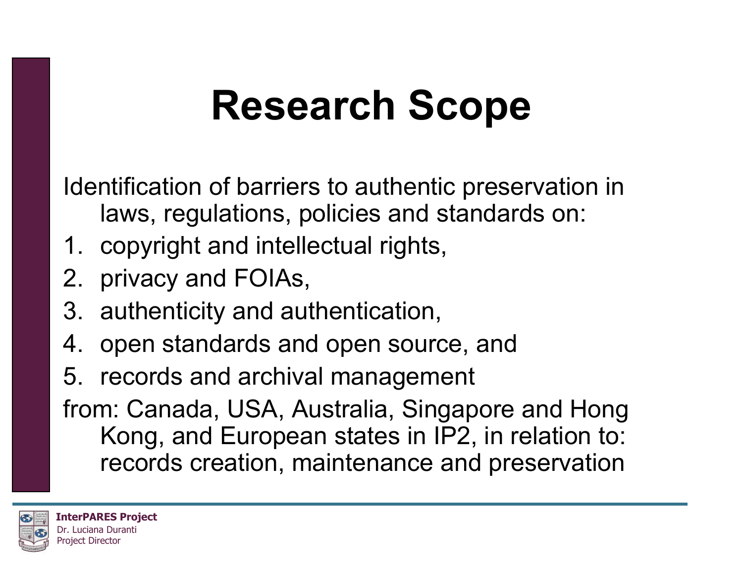#### **Research Scope**

Identification of barriers to authentic preservation in laws, regulations, policies and standards on:

- 1. copyright and intellectual rights,
- 2. privacy and FOIAs,
- 3. authenticity and authentication,
- 4. open standards and open source, and
- 5. records and archival management

from: Canada, USA, Australia, Singapore and Hong Kong, and European states in IP2, in relation to: records creation, maintenance and preservation

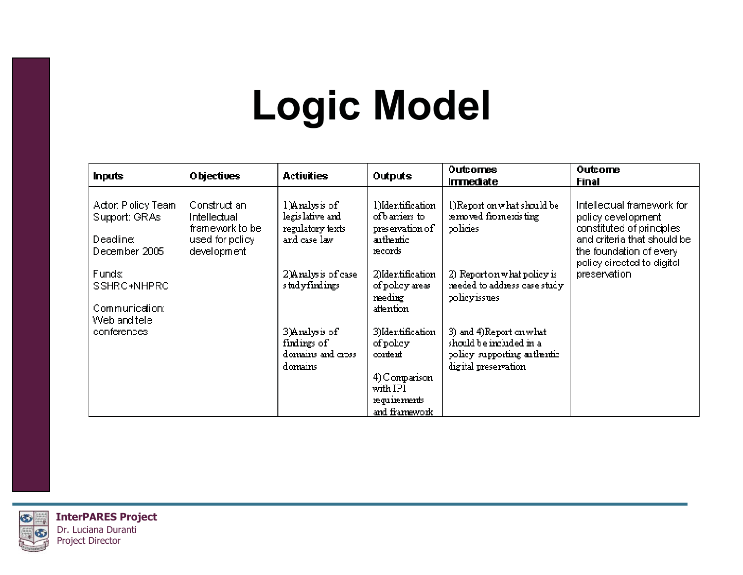### **Logic Model**

| Inputs                                                            | Objectives                                                                        | <b>Activities</b>                                                     | Outputs                                                                       | Outcomes                                                                                                  | Outcome                                                                                                                                                                               |
|-------------------------------------------------------------------|-----------------------------------------------------------------------------------|-----------------------------------------------------------------------|-------------------------------------------------------------------------------|-----------------------------------------------------------------------------------------------------------|---------------------------------------------------------------------------------------------------------------------------------------------------------------------------------------|
|                                                                   |                                                                                   |                                                                       |                                                                               | <b>Immediate</b>                                                                                          | Final                                                                                                                                                                                 |
| Actor: Policy Team<br>Support: GRAs<br>Deadline:<br>December 2005 | Construct an<br>Intellectual<br>framework to be<br>used for policy<br>development | l)Analysis of<br>legis lative and<br>regulatory texts<br>and case law | l)Identification<br>of barriers to<br>preservation of<br>authentic<br>records | l)Report on what should be<br>removed from existing<br>policies                                           | Intellectual framework for<br>policy development<br>constituted of principles<br>and criteria that should be<br>the foundation of every<br>policy directed to digital<br>preservation |
| Funds:<br>SSHRC+NHPRC<br>Communication:<br>Web and tele           |                                                                                   | 2)Analysis of case<br>studyfindings                                   | 2)Identification<br>of policy areas<br>reedirg<br>attention                   | 2) Report on what policy is<br>reeded to address case study<br>policyissues                               |                                                                                                                                                                                       |
| conferences                                                       |                                                                                   | 3)Analysis of<br>findings of<br>domains and cross<br>domains          | 3)Identification<br>of policy<br>cortert<br>4) Comparison<br>with IP1         | 3) and 4)Report on what<br>should be included in a<br>policy supporting authentic<br>digital preservation |                                                                                                                                                                                       |
|                                                                   |                                                                                   |                                                                       | requirements<br>and framework                                                 |                                                                                                           |                                                                                                                                                                                       |

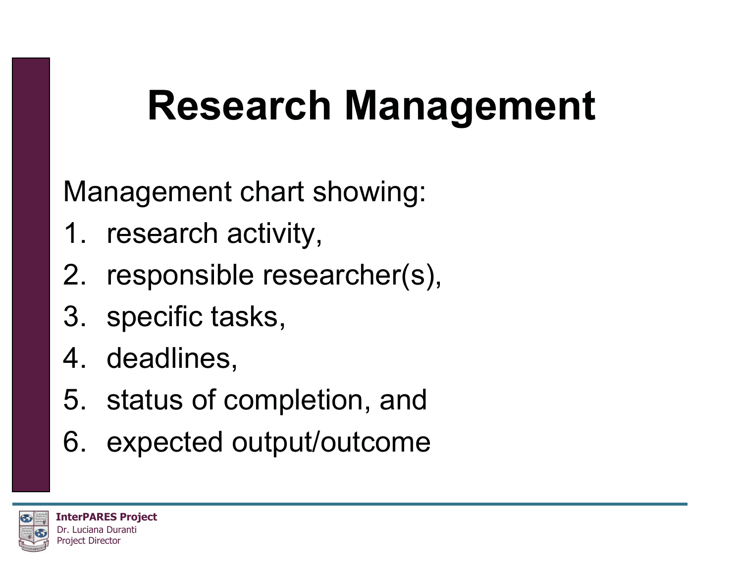### **Research Management**

Management chart showing:

- 1. research activity,
- 2. responsible researcher(s),
- 3. specific tasks,
- 4. deadlines,
- 5. status of completion, and
- 6. expected output/outcome

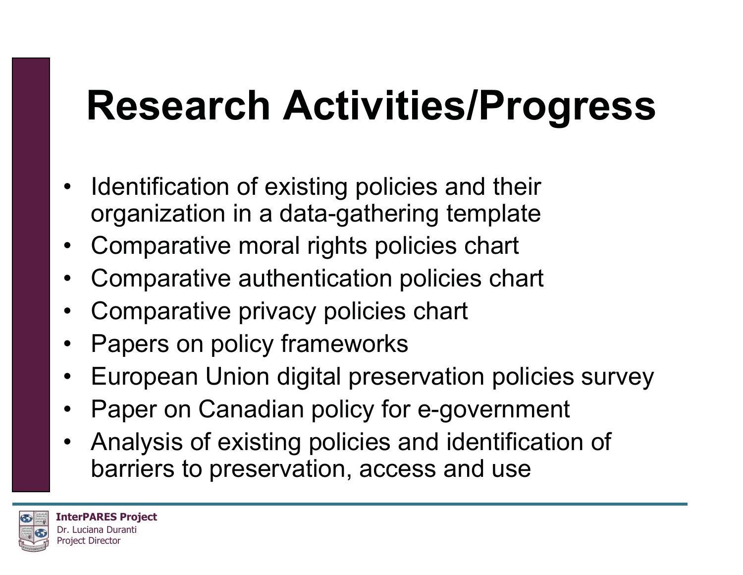### **Research Activities/Progress**

- Identification of existing policies and their organization in a data-gathering template
- Comparative moral rights policies chart
- •Comparative authentication policies chart
- •Comparative privacy policies chart
- •Papers on policy frameworks
- •European Union digital preservation policies survey
- •Paper on Canadian policy for e-government
- • Analysis of existing policies and identification of barriers to preservation, access and use

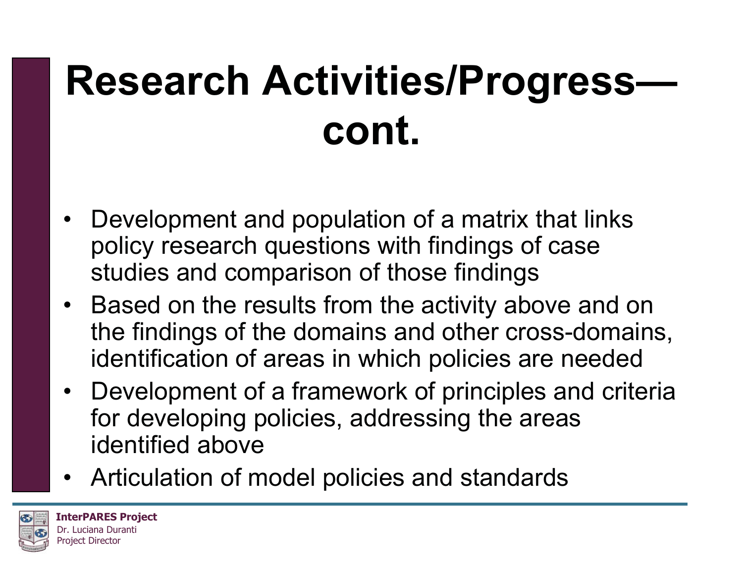# **Research Activities/Progress cont.**

- Development and population of a matrix that links policy research questions with findings of case studies and comparison of those findings
- Based on the results from the activity above and on the findings of the domains and other cross-domains, identification of areas in which policies are needed
- Development of a framework of principles and criteria for developing policies, addressing the areas identified above
- Articulation of model policies and standards

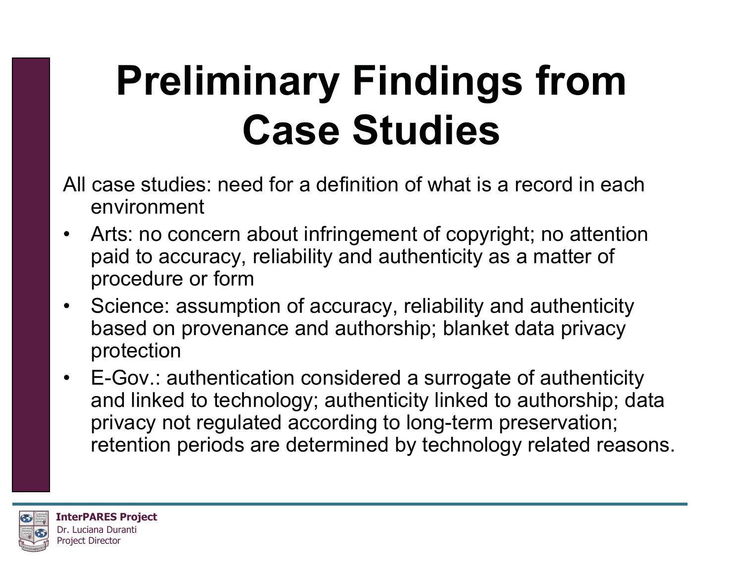# **Preliminary Findings from Case Studies**

- All case studies: need for a definition of what is a record in each environment
- • Arts: no concern about infringement of copyright; no attention paid to accuracy, reliability and authenticity as a matter of procedure or form
- Science: assumption of accuracy, reliability and authenticity based on provenance and authorship; blanket data privacy protection
- E-Gov.: authentication considered a surrogate of authenticity and linked to technology; authenticity linked to authorship; data privacy not regulated according to long-term preservation; retention periods are determined by technology related reasons.

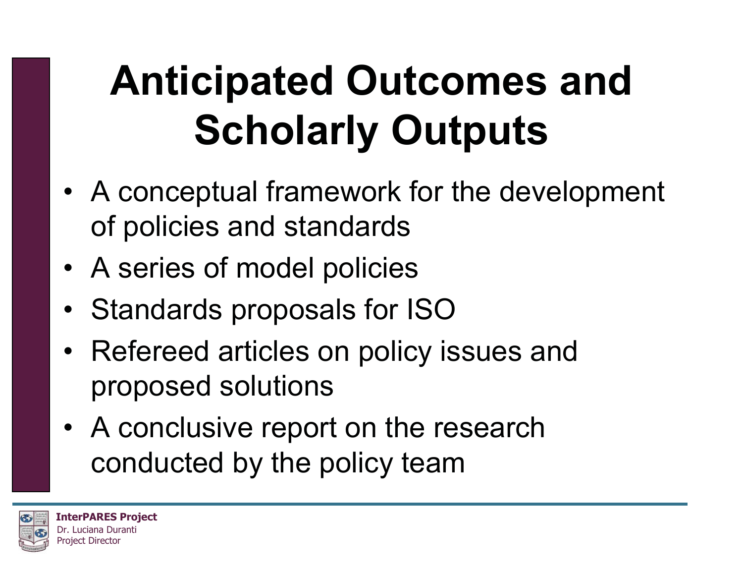# **Anticipated Outcomes and Scholarly Outputs**

- A conceptual framework for the development of policies and standards
- A series of model policies
- Standards proposals for ISO
- Refereed articles on policy issues and proposed solutions
- A conclusive report on the research conducted by the policy team

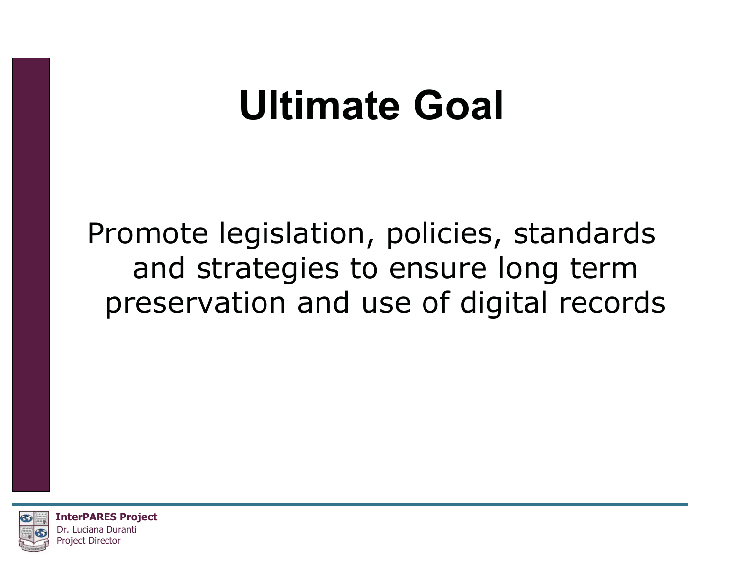#### **Ultimate Goal**

Promote legislation, policies, standards and strategies to ensure long term preservation and use of digital records



**InterPARES Project** Dr. Luciana Duranti Project Director